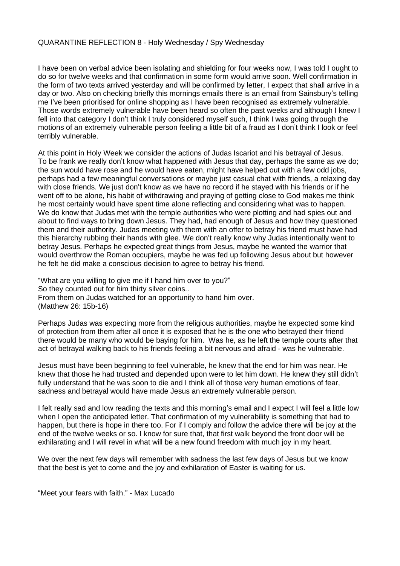## QUARANTINE REFLECTION 8 - Holy Wednesday / Spy Wednesday

I have been on verbal advice been isolating and shielding for four weeks now, I was told I ought to do so for twelve weeks and that confirmation in some form would arrive soon. Well confirmation in the form of two texts arrived yesterday and will be confirmed by letter, I expect that shall arrive in a day or two. Also on checking briefly this mornings emails there is an email from Sainsbury's telling me I've been prioritised for online shopping as I have been recognised as extremely vulnerable. Those words extremely vulnerable have been heard so often the past weeks and although I knew I fell into that category I don't think I truly considered myself such, I think I was going through the motions of an extremely vulnerable person feeling a little bit of a fraud as I don't think I look or feel terribly vulnerable.

At this point in Holy Week we consider the actions of Judas Iscariot and his betrayal of Jesus. To be frank we really don't know what happened with Jesus that day, perhaps the same as we do; the sun would have rose and he would have eaten, might have helped out with a few odd jobs, perhaps had a few meaningful conversations or maybe just casual chat with friends, a relaxing day with close friends. We just don't know as we have no record if he stayed with his friends or if he went off to be alone, his habit of withdrawing and praying of getting close to God makes me think he most certainly would have spent time alone reflecting and considering what was to happen. We do know that Judas met with the temple authorities who were plotting and had spies out and about to find ways to bring down Jesus. They had, had enough of Jesus and how they questioned them and their authority. Judas meeting with them with an offer to betray his friend must have had this hierarchy rubbing their hands with glee. We don't really know why Judas intentionally went to betray Jesus. Perhaps he expected great things from Jesus, maybe he wanted the warrior that would overthrow the Roman occupiers, maybe he was fed up following Jesus about but however he felt he did make a conscious decision to agree to betray his friend.

"What are you willing to give me if I hand him over to you?" So they counted out for him thirty silver coins.. From them on Judas watched for an opportunity to hand him over. (Matthew 26: 15b-16)

Perhaps Judas was expecting more from the religious authorities, maybe he expected some kind of protection from them after all once it is exposed that he is the one who betrayed their friend there would be many who would be baying for him. Was he, as he left the temple courts after that act of betrayal walking back to his friends feeling a bit nervous and afraid - was he vulnerable.

Jesus must have been beginning to feel vulnerable, he knew that the end for him was near. He knew that those he had trusted and depended upon were to let him down. He knew they still didn't fully understand that he was soon to die and I think all of those very human emotions of fear, sadness and betrayal would have made Jesus an extremely vulnerable person.

I felt really sad and low reading the texts and this morning's email and I expect I will feel a little low when I open the anticipated letter. That confirmation of my vulnerability is something that had to happen, but there is hope in there too. For if I comply and follow the advice there will be joy at the end of the twelve weeks or so. I know for sure that, that first walk beyond the front door will be exhilarating and I will revel in what will be a new found freedom with much joy in my heart.

We over the next few days will remember with sadness the last few days of Jesus but we know that the best is yet to come and the joy and exhilaration of Easter is waiting for us.

"Meet your fears with faith." - Max Lucado